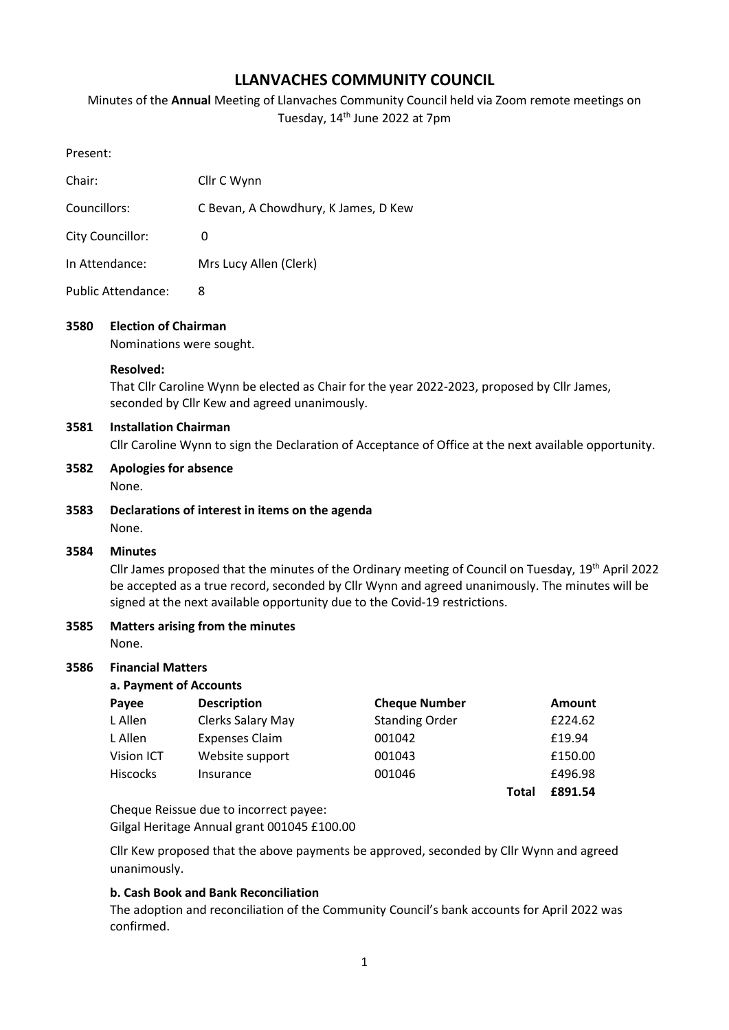# **LLANVACHES COMMUNITY COUNCIL**

Minutes of the **Annual** Meeting of Llanvaches Community Council held via Zoom remote meetings on Tuesday, 14<sup>th</sup> June 2022 at 7pm

| Chair:           | Cllr C Wynn                          |
|------------------|--------------------------------------|
| Councillors:     | C Bevan, A Chowdhury, K James, D Kew |
| City Councillor: | 0                                    |
| In Attendance:   | Mrs Lucy Allen (Clerk)               |
|                  |                                      |

Public Attendance: 8

### **3580 Election of Chairman**

Nominations were sought.

#### **Resolved:**

That Cllr Caroline Wynn be elected as Chair for the year 2022-2023, proposed by Cllr James, seconded by Cllr Kew and agreed unanimously.

#### **3581 Installation Chairman**

Cllr Caroline Wynn to sign the Declaration of Acceptance of Office at the next available opportunity.

**3582 Apologies for absence**

None.

**3583 Declarations of interest in items on the agenda** None.

#### **3584 Minutes**

Cllr James proposed that the minutes of the Ordinary meeting of Council on Tuesday, 19th April 2022 be accepted as a true record, seconded by Cllr Wynn and agreed unanimously. The minutes will be signed at the next available opportunity due to the Covid-19 restrictions.

### **3585 Matters arising from the minutes**

None.

#### **3586 Financial Matters**

| a. Payment of Accounts |                       |                       |       |               |  |
|------------------------|-----------------------|-----------------------|-------|---------------|--|
| Payee                  | <b>Description</b>    | <b>Cheque Number</b>  |       | <b>Amount</b> |  |
| L Allen                | Clerks Salary May     | <b>Standing Order</b> |       | £224.62       |  |
| L Allen                | <b>Expenses Claim</b> | 001042                |       | £19.94        |  |
| Vision ICT             | Website support       | 001043                |       | £150.00       |  |
| <b>Hiscocks</b>        | Insurance             | 001046                |       | £496.98       |  |
|                        |                       |                       | Total | £891.54       |  |

Cheque Reissue due to incorrect payee: Gilgal Heritage Annual grant 001045 £100.00

Cllr Kew proposed that the above payments be approved, seconded by Cllr Wynn and agreed unanimously.

#### **b. Cash Book and Bank Reconciliation**

The adoption and reconciliation of the Community Council's bank accounts for April 2022 was confirmed.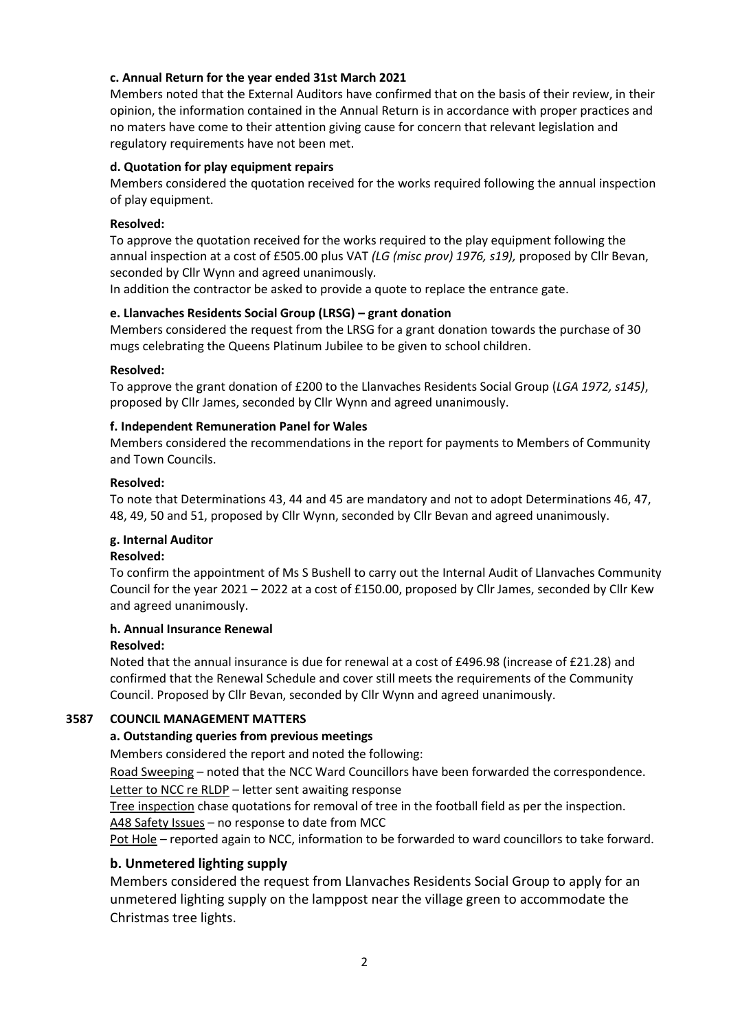### **c. Annual Return for the year ended 31st March 2021**

Members noted that the External Auditors have confirmed that on the basis of their review, in their opinion, the information contained in the Annual Return is in accordance with proper practices and no maters have come to their attention giving cause for concern that relevant legislation and regulatory requirements have not been met.

### **d. Quotation for play equipment repairs**

Members considered the quotation received for the works required following the annual inspection of play equipment.

### **Resolved:**

To approve the quotation received for the works required to the play equipment following the annual inspection at a cost of £505.00 plus VAT *(LG (misc prov) 1976, s19),* proposed by Cllr Bevan, seconded by Cllr Wynn and agreed unanimously*.*

In addition the contractor be asked to provide a quote to replace the entrance gate.

### **e. Llanvaches Residents Social Group (LRSG) – grant donation**

Members considered the request from the LRSG for a grant donation towards the purchase of 30 mugs celebrating the Queens Platinum Jubilee to be given to school children.

### **Resolved:**

To approve the grant donation of £200 to the Llanvaches Residents Social Group (*LGA 1972, s145)*, proposed by Cllr James, seconded by Cllr Wynn and agreed unanimously.

### **f. Independent Remuneration Panel for Wales**

Members considered the recommendations in the report for payments to Members of Community and Town Councils.

#### **Resolved:**

To note that Determinations 43, 44 and 45 are mandatory and not to adopt Determinations 46, 47, 48, 49, 50 and 51, proposed by Cllr Wynn, seconded by Cllr Bevan and agreed unanimously.

### **g. Internal Auditor**

#### **Resolved:**

To confirm the appointment of Ms S Bushell to carry out the Internal Audit of Llanvaches Community Council for the year 2021 – 2022 at a cost of £150.00, proposed by Cllr James, seconded by Cllr Kew and agreed unanimously.

#### **h. Annual Insurance Renewal**

#### **Resolved:**

Noted that the annual insurance is due for renewal at a cost of £496.98 (increase of £21.28) and confirmed that the Renewal Schedule and cover still meets the requirements of the Community Council. Proposed by Cllr Bevan, seconded by Cllr Wynn and agreed unanimously.

### **3587 COUNCIL MANAGEMENT MATTERS**

### **a. Outstanding queries from previous meetings**

Members considered the report and noted the following:

Road Sweeping – noted that the NCC Ward Councillors have been forwarded the correspondence. Letter to NCC re RLDP – letter sent awaiting response

Tree inspection chase quotations for removal of tree in the football field as per the inspection. A48 Safety Issues – no response to date from MCC

Pot Hole – reported again to NCC, information to be forwarded to ward councillors to take forward.

### **b. Unmetered lighting supply**

Members considered the request from Llanvaches Residents Social Group to apply for an unmetered lighting supply on the lamppost near the village green to accommodate the Christmas tree lights.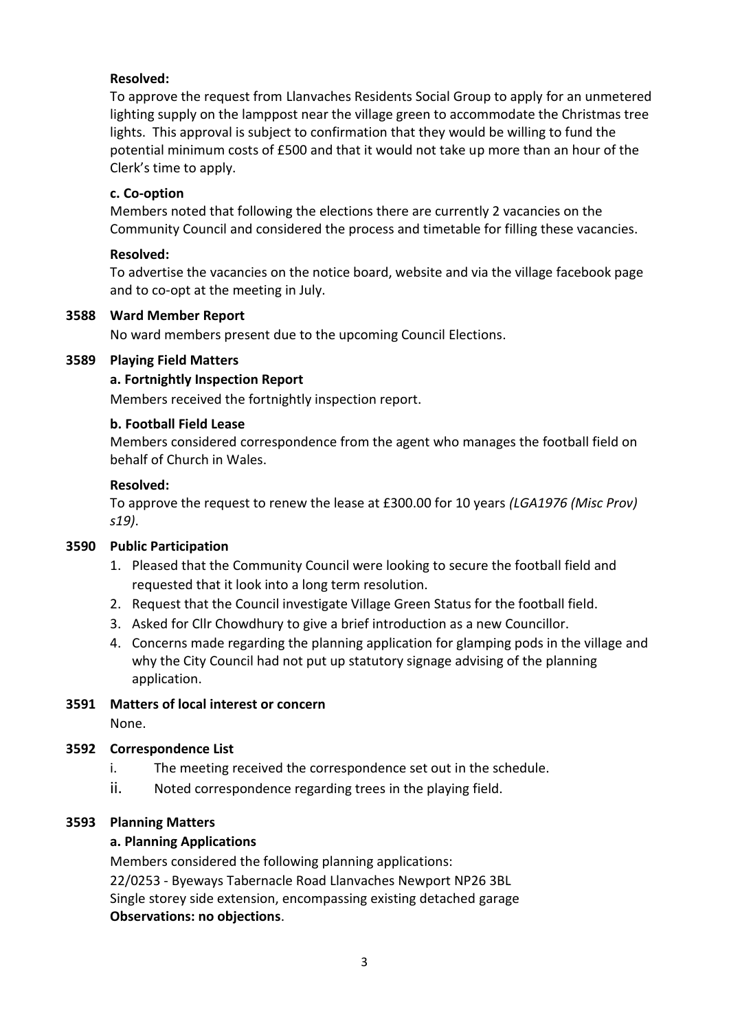# **Resolved:**

To approve the request from Llanvaches Residents Social Group to apply for an unmetered lighting supply on the lamppost near the village green to accommodate the Christmas tree lights. This approval is subject to confirmation that they would be willing to fund the potential minimum costs of £500 and that it would not take up more than an hour of the Clerk's time to apply.

# **c. Co-option**

Members noted that following the elections there are currently 2 vacancies on the Community Council and considered the process and timetable for filling these vacancies.

# **Resolved:**

To advertise the vacancies on the notice board, website and via the village facebook page and to co-opt at the meeting in July.

## **3588 Ward Member Report**

No ward members present due to the upcoming Council Elections.

## **3589 Playing Field Matters**

## **a. Fortnightly Inspection Report**

Members received the fortnightly inspection report.

## **b. Football Field Lease**

Members considered correspondence from the agent who manages the football field on behalf of Church in Wales.

## **Resolved:**

To approve the request to renew the lease at £300.00 for 10 years *(LGA1976 (Misc Prov) s19)*.

### **3590 Public Participation**

- 1. Pleased that the Community Council were looking to secure the football field and requested that it look into a long term resolution.
- 2. Request that the Council investigate Village Green Status for the football field.
- 3. Asked for Cllr Chowdhury to give a brief introduction as a new Councillor.
- 4. Concerns made regarding the planning application for glamping pods in the village and why the City Council had not put up statutory signage advising of the planning application.
- **3591 Matters of local interest or concern** None.

# **3592 Correspondence List**

- i. The meeting received the correspondence set out in the schedule.
- ii. Noted correspondence regarding trees in the playing field.

## **3593 Planning Matters**

### **a. Planning Applications**

Members considered the following planning applications: 22/0253 - Byeways Tabernacle Road Llanvaches Newport NP26 3BL Single storey side extension, encompassing existing detached garage **Observations: no objections**.